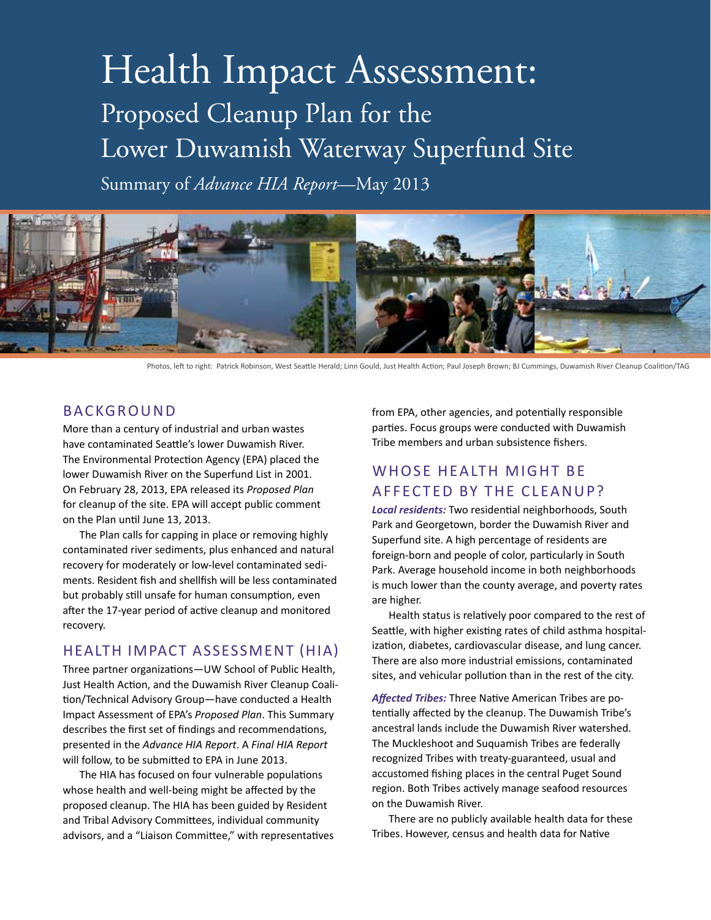# Health Impact Assessment: Proposed Cleanup Plan for the Lower Duwamish Waterway Superfund Site

Summary of *Advance HIA Report*—May 2013



Photos, left to right: Patrick Robinson, West Seattle Herald; Linn Gould, Just Health Action; Paul Joseph Brown; BJ Cummings, Duwamish River Cleanup Coalition/TAG

### BACKGROUND

More than a century of industrial and urban wastes have contaminated Seattle's lower Duwamish River. The Environmental Protection Agency (EPA) placed the lower Duwamish River on the Superfund List in 2001. On February 28, 2013, EPA released its *Proposed Plan* for cleanup of the site. EPA will accept public comment on the Plan until June 13, 2013.

The Plan calls for capping in place or removing highly contaminated river sediments, plus enhanced and natural recovery for moderately or low-level contaminated sediments. Resident fish and shellfish will be less contaminated but probably still unsafe for human consumption, even after the 17-year period of active cleanup and monitored recovery.

### health impact Assessment (HIA)

Three partner organizations—UW School of Public Health, Just Health Action, and the Duwamish River Cleanup Coalition/Technical Advisory Group—have conducted a Health Impact Assessment of EPA's *Proposed Plan*. This Summary describes the first set of findings and recommendations, presented in the *Advance HIA Report*. A *Final HIA Report* will follow, to be submitted to EPA in June 2013.

The HIA has focused on four vulnerable populations whose health and well-being might be affected by the proposed cleanup. The HIA has been guided by Resident and Tribal Advisory Committees, individual community advisors, and a "Liaison Committee," with representatives from EPA, other agencies, and potentially responsible parties. Focus groups were conducted with Duwamish Tribe members and urban subsistence fishers.

# whose health might be affected by the cleanup?

*Local residents:* Two residential neighborhoods, South Park and Georgetown, border the Duwamish River and Superfund site. A high percentage of residents are foreign-born and people of color, particularly in South Park. Average household income in both neighborhoods is much lower than the county average, and poverty rates are higher.

Health status is relatively poor compared to the rest of Seattle, with higher existing rates of child asthma hospitalization, diabetes, cardiovascular disease, and lung cancer. There are also more industrial emissions, contaminated sites, and vehicular pollution than in the rest of the city.

*Affected Tribes:* Three Native American Tribes are potentially affected by the cleanup. The Duwamish Tribe's ancestral lands include the Duwamish River watershed. The Muckleshoot and Suquamish Tribes are federally recognized Tribes with treaty-guaranteed, usual and accustomed fishing places in the central Puget Sound region. Both Tribes actively manage seafood resources on the Duwamish River.

There are no publicly available health data for these Tribes. However, census and health data for Native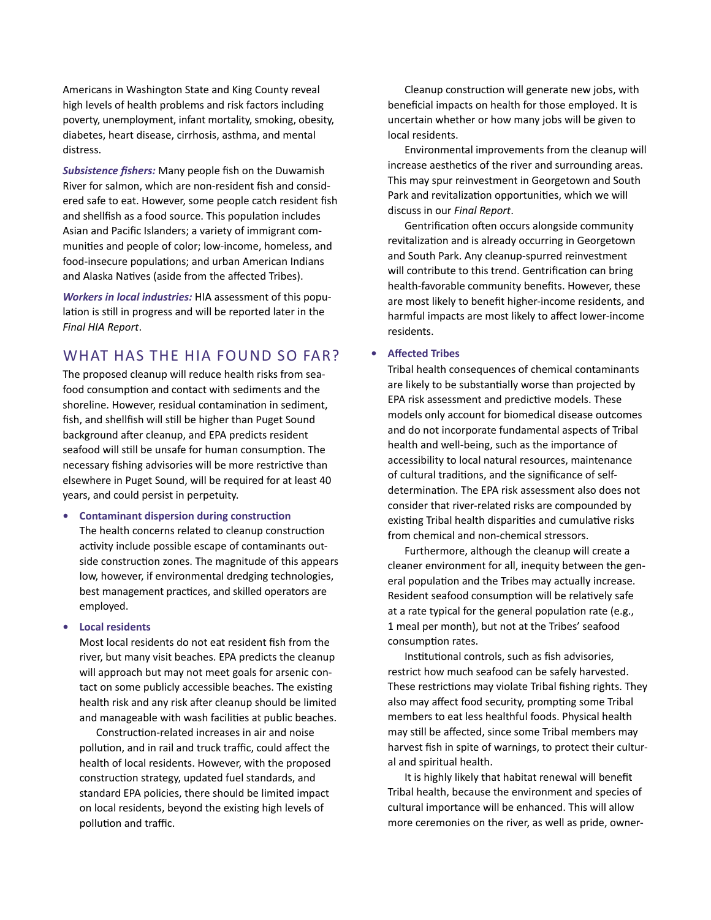Americans in Washington State and King County reveal high levels of health problems and risk factors including poverty, unemployment, infant mortality, smoking, obesity, diabetes, heart disease, cirrhosis, asthma, and mental distress.

*Subsistence fishers:* Many people fish on the Duwamish River for salmon, which are non-resident fish and considered safe to eat. However, some people catch resident fish and shellfish as a food source. This population includes Asian and Pacific Islanders; a variety of immigrant communities and people of color; low-income, homeless, and food-insecure populations; and urban American Indians and Alaska Natives (aside from the affected Tribes).

*Workers in local industries:* HIA assessment of this population is still in progress and will be reported later in the *Final HIA Report*.

### WHAT HAS THE HIA FOUND SO FAR?

The proposed cleanup will reduce health risks from seafood consumption and contact with sediments and the shoreline. However, residual contamination in sediment, fish, and shellfish will still be higher than Puget Sound background after cleanup, and EPA predicts resident seafood will still be unsafe for human consumption. The necessary fishing advisories will be more restrictive than elsewhere in Puget Sound, will be required for at least 40 years, and could persist in perpetuity.

**• Contaminant dispersion during construction** The health concerns related to cleanup construction activity include possible escape of contaminants outside construction zones. The magnitude of this appears low, however, if environmental dredging technologies, best management practices, and skilled operators are employed.

#### **Local residents**

Most local residents do not eat resident fish from the river, but many visit beaches. EPA predicts the cleanup will approach but may not meet goals for arsenic contact on some publicly accessible beaches. The existing health risk and any risk after cleanup should be limited and manageable with wash facilities at public beaches.

Construction-related increases in air and noise pollution, and in rail and truck traffic, could affect the health of local residents. However, with the proposed construction strategy, updated fuel standards, and standard EPA policies, there should be limited impact on local residents, beyond the existing high levels of pollution and traffic.

Cleanup construction will generate new jobs, with beneficial impacts on health for those employed. It is uncertain whether or how many jobs will be given to local residents.

Environmental improvements from the cleanup will increase aesthetics of the river and surrounding areas. This may spur reinvestment in Georgetown and South Park and revitalization opportunities, which we will discuss in our *Final Report*.

Gentrification often occurs alongside community revitalization and is already occurring in Georgetown and South Park. Any cleanup-spurred reinvestment will contribute to this trend. Gentrification can bring health-favorable community benefits. However, these are most likely to benefit higher-income residents, and harmful impacts are most likely to affect lower-income residents.

#### **• Affected Tribes**

Tribal health consequences of chemical contaminants are likely to be substantially worse than projected by EPA risk assessment and predictive models. These models only account for biomedical disease outcomes and do not incorporate fundamental aspects of Tribal health and well-being, such as the importance of accessibility to local natural resources, maintenance of cultural traditions, and the significance of selfdetermination. The EPA risk assessment also does not consider that river-related risks are compounded by existing Tribal health disparities and cumulative risks from chemical and non-chemical stressors.

Furthermore, although the cleanup will create a cleaner environment for all, inequity between the general population and the Tribes may actually increase. Resident seafood consumption will be relatively safe at a rate typical for the general population rate (e.g., 1 meal per month), but not at the Tribes' seafood consumption rates.

Institutional controls, such as fish advisories, restrict how much seafood can be safely harvested. These restrictions may violate Tribal fishing rights. They also may affect food security, prompting some Tribal members to eat less healthful foods. Physical health may still be affected, since some Tribal members may harvest fish in spite of warnings, to protect their cultural and spiritual health.

It is highly likely that habitat renewal will benefit Tribal health, because the environment and species of cultural importance will be enhanced. This will allow more ceremonies on the river, as well as pride, owner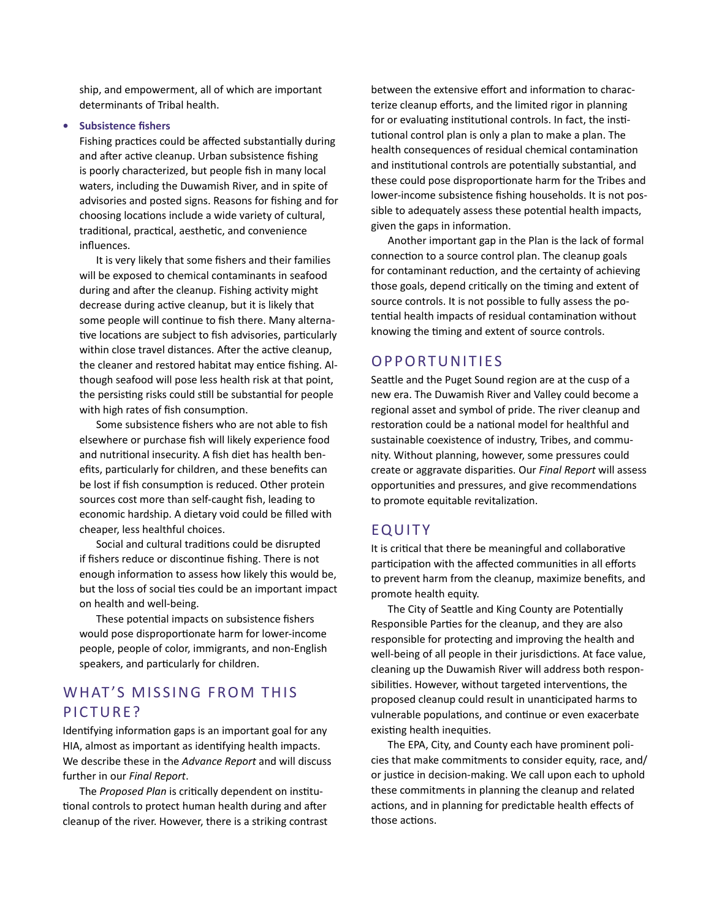ship, and empowerment, all of which are important determinants of Tribal health.

#### **• Subsistence fishers**

Fishing practices could be affected substantially during and after active cleanup. Urban subsistence fishing is poorly characterized, but people fish in many local waters, including the Duwamish River, and in spite of advisories and posted signs. Reasons for fishing and for choosing locations include a wide variety of cultural, traditional, practical, aesthetic, and convenience influences.

It is very likely that some fishers and their families will be exposed to chemical contaminants in seafood during and after the cleanup. Fishing activity might decrease during active cleanup, but it is likely that some people will continue to fish there. Many alternative locations are subject to fish advisories, particularly within close travel distances. After the active cleanup, the cleaner and restored habitat may entice fishing. Although seafood will pose less health risk at that point, the persisting risks could still be substantial for people with high rates of fish consumption.

Some subsistence fishers who are not able to fish elsewhere or purchase fish will likely experience food and nutritional insecurity. A fish diet has health benefits, particularly for children, and these benefits can be lost if fish consumption is reduced. Other protein sources cost more than self-caught fish, leading to economic hardship. A dietary void could be filled with cheaper, less healthful choices.

Social and cultural traditions could be disrupted if fishers reduce or discontinue fishing. There is not enough information to assess how likely this would be, but the loss of social ties could be an important impact on health and well-being.

These potential impacts on subsistence fishers would pose disproportionate harm for lower-income people, people of color, immigrants, and non-English speakers, and particularly for children.

# WHAT'S MISSING FROM THIS PICTURE?

Identifying information gaps is an important goal for any HIA, almost as important as identifying health impacts. We describe these in the *Advance Report* and will discuss further in our *Final Report*.

The *Proposed Plan* is critically dependent on institutional controls to protect human health during and after cleanup of the river. However, there is a striking contrast

between the extensive effort and information to characterize cleanup efforts, and the limited rigor in planning for or evaluating institutional controls. In fact, the institutional control plan is only a plan to make a plan. The health consequences of residual chemical contamination and institutional controls are potentially substantial, and these could pose disproportionate harm for the Tribes and lower-income subsistence fishing households. It is not possible to adequately assess these potential health impacts, given the gaps in information.

Another important gap in the Plan is the lack of formal connection to a source control plan. The cleanup goals for contaminant reduction, and the certainty of achieving those goals, depend critically on the timing and extent of source controls. It is not possible to fully assess the potential health impacts of residual contamination without knowing the timing and extent of source controls.

### **OPPORTUNITIES**

Seattle and the Puget Sound region are at the cusp of a new era. The Duwamish River and Valley could become a regional asset and symbol of pride. The river cleanup and restoration could be a national model for healthful and sustainable coexistence of industry, Tribes, and community. Without planning, however, some pressures could create or aggravate disparities. Our *Final Report* will assess opportunities and pressures, and give recommendations to promote equitable revitalization.

### **EQUITY**

It is critical that there be meaningful and collaborative participation with the affected communities in all efforts to prevent harm from the cleanup, maximize benefits, and promote health equity.

The City of Seattle and King County are Potentially Responsible Parties for the cleanup, and they are also responsible for protecting and improving the health and well-being of all people in their jurisdictions. At face value, cleaning up the Duwamish River will address both responsibilities. However, without targeted interventions, the proposed cleanup could result in unanticipated harms to vulnerable populations, and continue or even exacerbate existing health inequities.

The EPA, City, and County each have prominent policies that make commitments to consider equity, race, and/ or justice in decision-making. We call upon each to uphold these commitments in planning the cleanup and related actions, and in planning for predictable health effects of those actions.